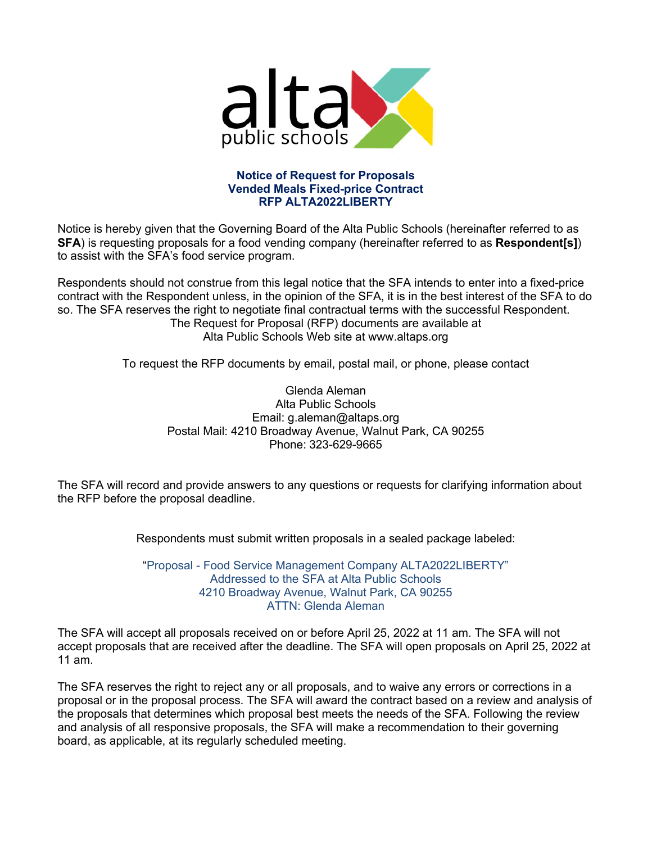

#### **Notice of Request for Proposals Vended Meals Fixed-price Contract RFP ALTA2022LIBERTY**

Notice is hereby given that the Governing Board of the Alta Public Schools (hereinafter referred to as **SFA**) is requesting proposals for a food vending company (hereinafter referred to as **Respondent[s]**) to assist with the SFA's food service program.

Respondents should not construe from this legal notice that the SFA intends to enter into a fixed-price contract with the Respondent unless, in the opinion of the SFA, it is in the best interest of the SFA to do so. The SFA reserves the right to negotiate final contractual terms with the successful Respondent. The Request for Proposal (RFP) documents are available at Alta Public Schools Web site at www.altaps.org

To request the RFP documents by email, postal mail, or phone, please contact

Glenda Aleman Alta Public Schools Email: g.aleman@altaps.org Postal Mail: 4210 Broadway Avenue, Walnut Park, CA 90255 Phone: 323-629-9665

The SFA will record and provide answers to any questions or requests for clarifying information about the RFP before the proposal deadline.

Respondents must submit written proposals in a sealed package labeled:

"Proposal - Food Service Management Company ALTA2022LIBERTY" Addressed to the SFA at Alta Public Schools 4210 Broadway Avenue, Walnut Park, CA 90255 ATTN: Glenda Aleman

The SFA will accept all proposals received on or before April 25, 2022 at 11 am. The SFA will not accept proposals that are received after the deadline. The SFA will open proposals on April 25, 2022 at 11 am.

The SFA reserves the right to reject any or all proposals, and to waive any errors or corrections in a proposal or in the proposal process. The SFA will award the contract based on a review and analysis of the proposals that determines which proposal best meets the needs of the SFA. Following the review and analysis of all responsive proposals, the SFA will make a recommendation to their governing board, as applicable, at its regularly scheduled meeting.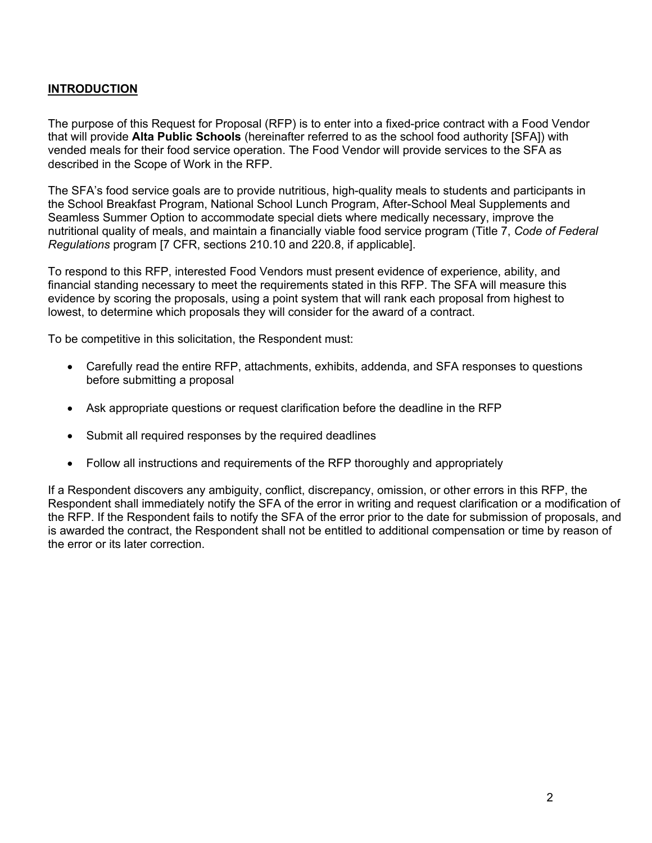#### **INTRODUCTION**

The purpose of this Request for Proposal (RFP) is to enter into a fixed-price contract with a Food Vendor that will provide **Alta Public Schools** (hereinafter referred to as the school food authority [SFA]) with vended meals for their food service operation. The Food Vendor will provide services to the SFA as described in the Scope of Work in the RFP.

The SFA's food service goals are to provide nutritious, high-quality meals to students and participants in the School Breakfast Program, National School Lunch Program, After-School Meal Supplements and Seamless Summer Option to accommodate special diets where medically necessary, improve the nutritional quality of meals, and maintain a financially viable food service program (Title 7, *Code of Federal Regulations* program [7 CFR, sections 210.10 and 220.8, if applicable].

To respond to this RFP, interested Food Vendors must present evidence of experience, ability, and financial standing necessary to meet the requirements stated in this RFP. The SFA will measure this evidence by scoring the proposals, using a point system that will rank each proposal from highest to lowest, to determine which proposals they will consider for the award of a contract.

To be competitive in this solicitation, the Respondent must:

- Carefully read the entire RFP, attachments, exhibits, addenda, and SFA responses to questions before submitting a proposal
- Ask appropriate questions or request clarification before the deadline in the RFP
- Submit all required responses by the required deadlines
- Follow all instructions and requirements of the RFP thoroughly and appropriately

If a Respondent discovers any ambiguity, conflict, discrepancy, omission, or other errors in this RFP, the Respondent shall immediately notify the SFA of the error in writing and request clarification or a modification of the RFP. If the Respondent fails to notify the SFA of the error prior to the date for submission of proposals, and is awarded the contract, the Respondent shall not be entitled to additional compensation or time by reason of the error or its later correction.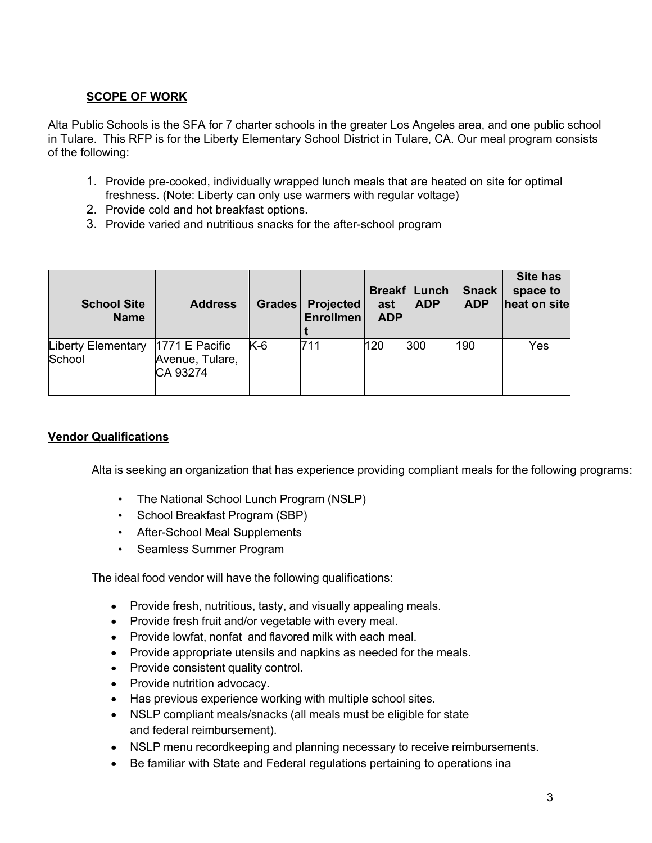# **SCOPE OF WORK**

Alta Public Schools is the SFA for 7 charter schools in the greater Los Angeles area, and one public school in Tulare. This RFP is for the Liberty Elementary School District in Tulare, CA. Our meal program consists of the following:

- 1. Provide pre-cooked, individually wrapped lunch meals that are heated on site for optimal freshness. (Note: Liberty can only use warmers with regular voltage)
- 2. Provide cold and hot breakfast options.
- 3. Provide varied and nutritious snacks for the after-school program

| <b>School Site</b><br><b>Name</b>            | <b>Address</b>              | <b>Grades</b> | <b>Projected</b><br><b>Enrollmen</b> | ast<br><b>ADP</b> | <b>Breakf Lunch</b><br><b>ADP</b> | <b>Snack</b><br><b>ADP</b> | <b>Site has</b><br>space to<br>heat on site |
|----------------------------------------------|-----------------------------|---------------|--------------------------------------|-------------------|-----------------------------------|----------------------------|---------------------------------------------|
| Liberty Elementary  1771 E Pacific<br>School | Avenue, Tulare,<br>CA 93274 | $K-6$         | 711                                  | 120               | 300                               | 190                        | Yes                                         |

## **Vendor Qualifications**

Alta is seeking an organization that has experience providing compliant meals for the following programs:

- The National School Lunch Program (NSLP)
- School Breakfast Program (SBP)
- After-School Meal Supplements
- Seamless Summer Program

The ideal food vendor will have the following qualifications:

- Provide fresh, nutritious, tasty, and visually appealing meals.
- Provide fresh fruit and/or vegetable with every meal.
- Provide lowfat, nonfat and flavored milk with each meal.
- Provide appropriate utensils and napkins as needed for the meals.
- Provide consistent quality control.
- Provide nutrition advocacy.
- Has previous experience working with multiple school sites.
- NSLP compliant meals/snacks (all meals must be eligible for state and federal reimbursement).
- NSLP menu recordkeeping and planning necessary to receive reimbursements.
- Be familiar with State and Federal regulations pertaining to operations ina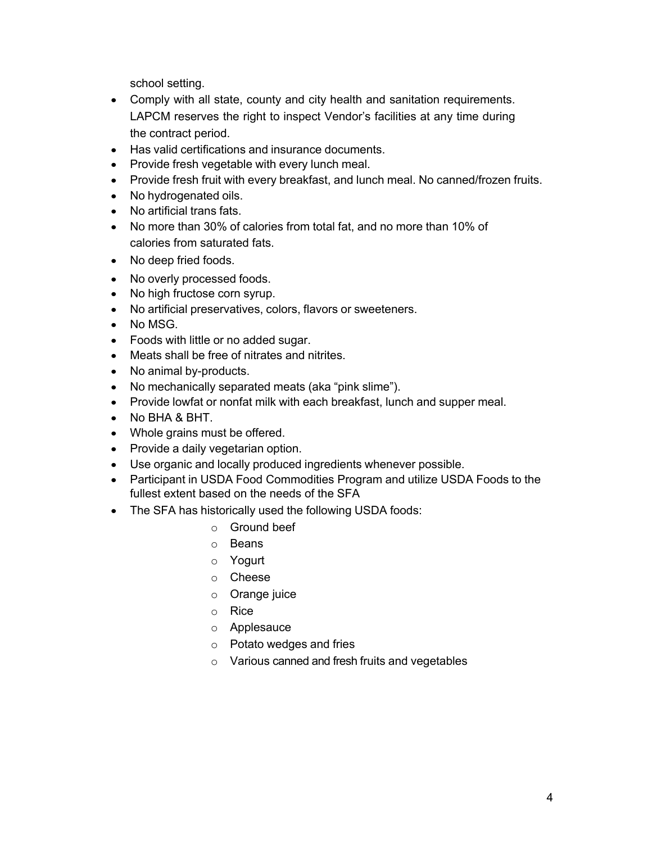school setting.

- Comply with all state, county and city health and sanitation requirements. LAPCM reserves the right to inspect Vendor's facilities at any time during the contract period.
- Has valid certifications and insurance documents.
- Provide fresh vegetable with every lunch meal.
- Provide fresh fruit with every breakfast, and lunch meal. No canned/frozen fruits.
- No hydrogenated oils.
- No artificial trans fats.
- No more than 30% of calories from total fat, and no more than 10% of calories from saturated fats.
- No deep fried foods.
- No overly processed foods.
- No high fructose corn syrup.
- No artificial preservatives, colors, flavors or sweeteners.
- No MSG.
- Foods with little or no added sugar.
- Meats shall be free of nitrates and nitrites.
- No animal by-products.
- No mechanically separated meats (aka "pink slime").
- Provide lowfat or nonfat milk with each breakfast, lunch and supper meal.
- No BHA & BHT.
- Whole grains must be offered.
- Provide a daily vegetarian option.
- Use organic and locally produced ingredients whenever possible.
- Participant in USDA Food Commodities Program and utilize USDA Foods to the fullest extent based on the needs of the SFA
- The SFA has historically used the following USDA foods:
	- o Ground beef
	- o Beans
	- o Yogurt
	- o Cheese
	- o Orange juice
	- o Rice
	- o Applesauce
	- o Potato wedges and fries
	- o Various canned and fresh fruits and vegetables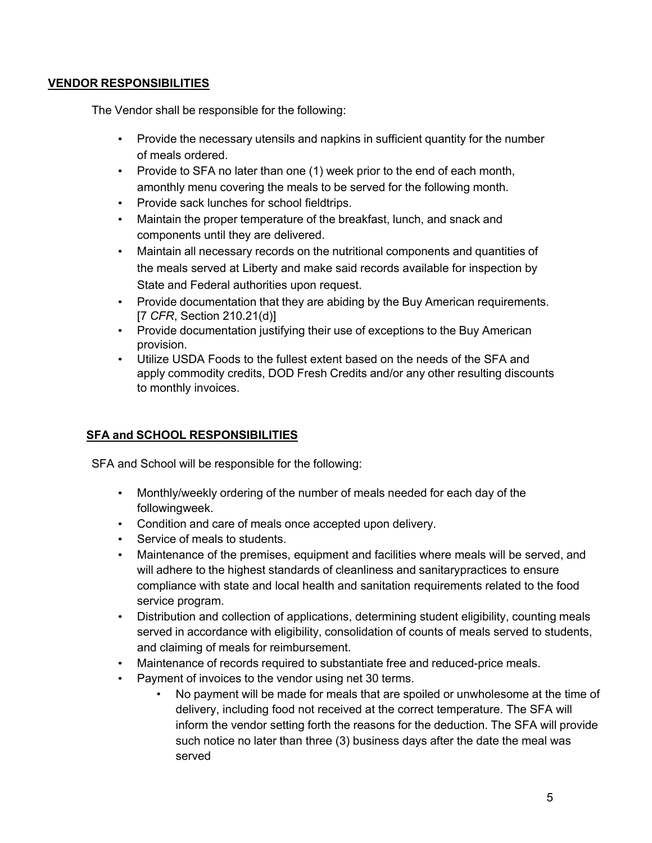### **VENDOR RESPONSIBILITIES**

The Vendor shall be responsible for the following:

- Provide the necessary utensils and napkins in sufficient quantity for the number of meals ordered.
- Provide to SFA no later than one (1) week prior to the end of each month, amonthly menu covering the meals to be served for the following month.
- Provide sack lunches for school fieldtrips.
- Maintain the proper temperature of the breakfast, lunch, and snack and components until they are delivered.
- Maintain all necessary records on the nutritional components and quantities of the meals served at Liberty and make said records available for inspection by State and Federal authorities upon request.
- Provide documentation that they are abiding by the Buy American requirements. [7 *CFR*, Section 210.21(d)]
- Provide documentation justifying their use of exceptions to the Buy American provision.
- Utilize USDA Foods to the fullest extent based on the needs of the SFA and apply commodity credits, DOD Fresh Credits and/or any other resulting discounts to monthly invoices.

## **SFA and SCHOOL RESPONSIBILITIES**

SFA and School will be responsible for the following:

- Monthly/weekly ordering of the number of meals needed for each day of the followingweek.
- Condition and care of meals once accepted upon delivery.
- Service of meals to students.
- Maintenance of the premises, equipment and facilities where meals will be served, and will adhere to the highest standards of cleanliness and sanitarypractices to ensure compliance with state and local health and sanitation requirements related to the food service program.
- Distribution and collection of applications, determining student eligibility, counting meals served in accordance with eligibility, consolidation of counts of meals served to students, and claiming of meals for reimbursement.
- Maintenance of records required to substantiate free and reduced-price meals.
- Payment of invoices to the vendor using net 30 terms.
	- No payment will be made for meals that are spoiled or unwholesome at the time of delivery, including food not received at the correct temperature. The SFA will inform the vendor setting forth the reasons for the deduction. The SFA will provide such notice no later than three (3) business days after the date the meal was served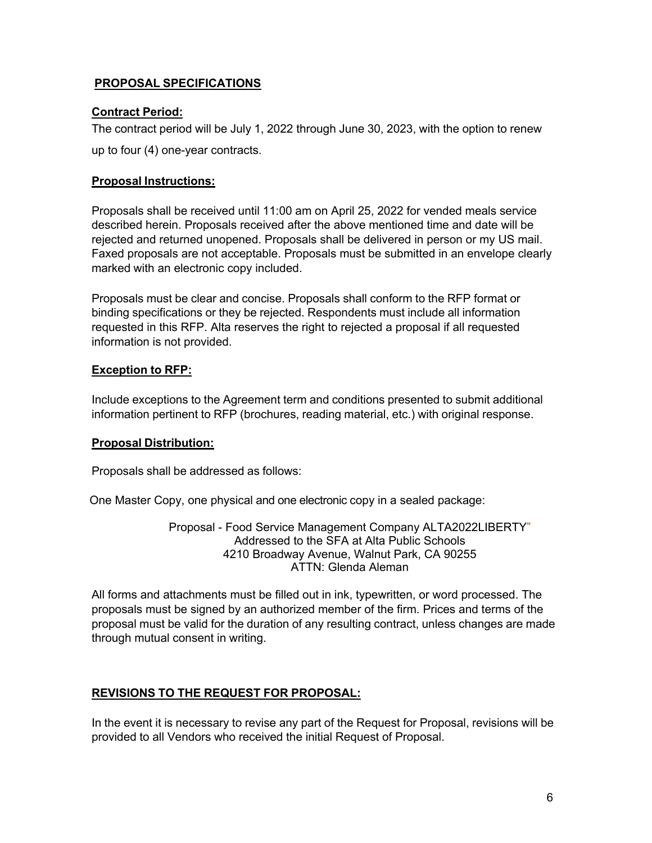### **PROPOSAL SPECIFICATIONS**

#### **Contract Period:**

The contract period will be July 1, 2022 through June 30, 2023, with the option to renew up to four (4) one-year contracts.

#### **Proposal Instructions:**

Proposals shall be received until 11:00 am on April 25, 2022 for vended meals service described herein. Proposals received after the above mentioned time and date will be rejected and returned unopened. Proposals shall be delivered in person or my US mail. Faxed proposals are not acceptable. Proposals must be submitted in an envelope clearly marked with an electronic copy included.

Proposals must be clear and concise. Proposals shall conform to the RFP format or binding specifications or they be rejected. Respondents must include all information requested in this RFP. Alta reserves the right to rejected a proposal if all requested information is not provided.

#### **Exception to RFP:**

Include exceptions to the Agreement term and conditions presented to submit additional information pertinent to RFP (brochures, reading material, etc.) with original response.

#### **Proposal Distribution:**

Proposals shall be addressed as follows:

One Master Copy, one physical and one electronic copy in a sealed package:

Proposal - Food Service Management Company ALTA2022LIBERTY" Addressed to the SFA at Alta Public Schools 4210 Broadway Avenue, Walnut Park, CA 90255 ATTN: Glenda Aleman

All forms and attachments must be filled out in ink, typewritten, or word processed. The proposals must be signed by an authorized member of the firm. Prices and terms of the proposal must be valid for the duration of any resulting contract, unless changes are made through mutual consent in writing.

## **REVISIONS TO THE REQUEST FOR PROPOSAL:**

In the event it is necessary to revise any part of the Request for Proposal, revisions will be provided to all Vendors who received the initial Request of Proposal.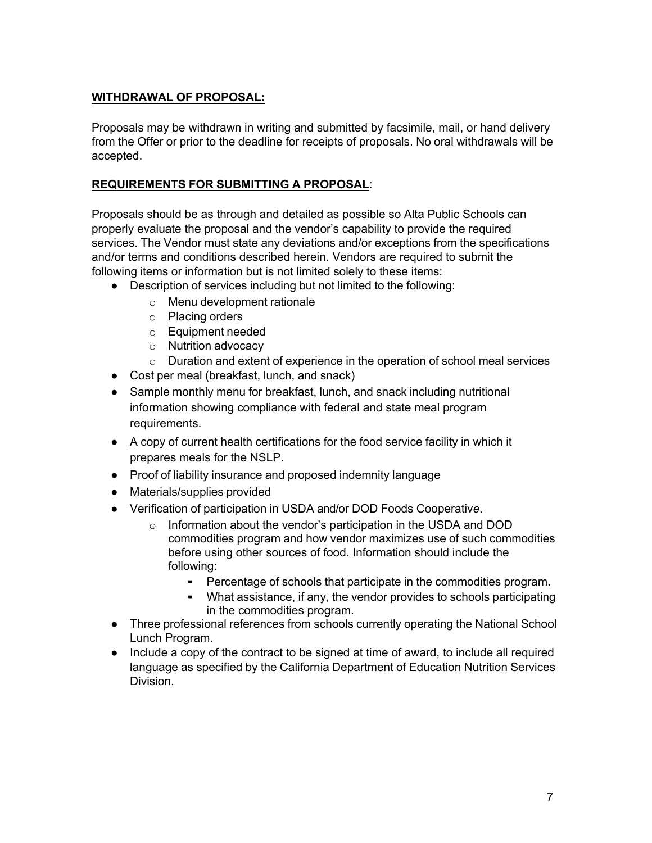## **WITHDRAWAL OF PROPOSAL:**

Proposals may be withdrawn in writing and submitted by facsimile, mail, or hand delivery from the Offer or prior to the deadline for receipts of proposals. No oral withdrawals will be accepted.

### **REQUIREMENTS FOR SUBMITTING A PROPOSAL**:

Proposals should be as through and detailed as possible so Alta Public Schools can properly evaluate the proposal and the vendor's capability to provide the required services. The Vendor must state any deviations and/or exceptions from the specifications and/or terms and conditions described herein. Vendors are required to submit the following items or information but is not limited solely to these items:

- Description of services including but not limited to the following:
	- o Menu development rationale
	- o Placing orders
	- o Equipment needed
	- o Nutrition advocacy
	- $\circ$  Duration and extent of experience in the operation of school meal services
- Cost per meal (breakfast, lunch, and snack)
- Sample monthly menu for breakfast, lunch, and snack including nutritional information showing compliance with federal and state meal program requirements.
- A copy of current health certifications for the food service facility in which it prepares meals for the NSLP.
- Proof of liability insurance and proposed indemnity language
- Materials/supplies provided
- Verification of participation in USDA and/or DOD Foods Cooperativ*e*.
	- o Information about the vendor's participation in the USDA and DOD commodities program and how vendor maximizes use of such commodities before using other sources of food. Information should include the following:
		- Percentage of schools that participate in the commodities program.
		- What assistance, if any, the vendor provides to schools participating in the commodities program.
- Three professional references from schools currently operating the National School Lunch Program.
- Include a copy of the contract to be signed at time of award, to include all required language as specified by the California Department of Education Nutrition Services Division.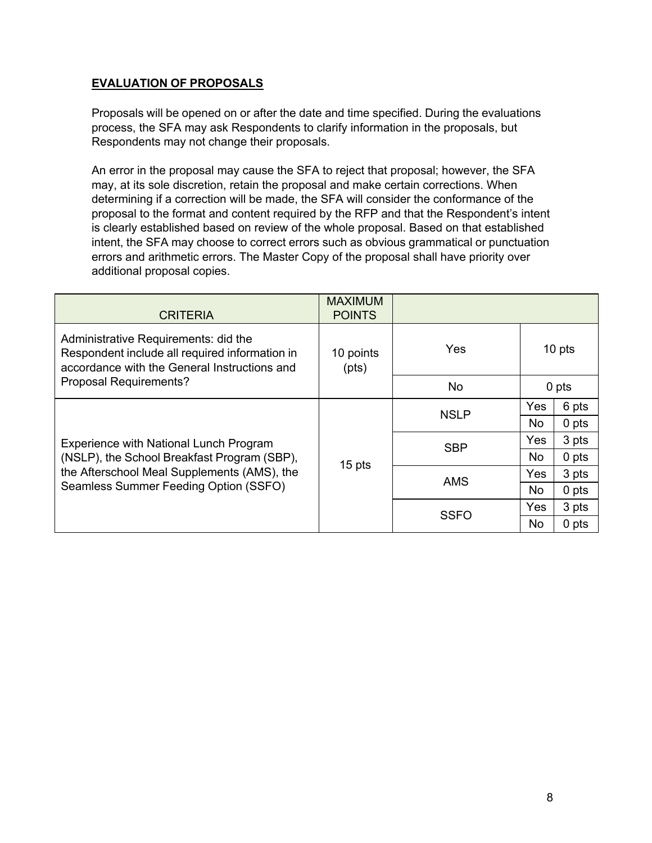## **EVALUATION OF PROPOSALS**

Proposals will be opened on or after the date and time specified. During the evaluations process, the SFA may ask Respondents to clarify information in the proposals, but Respondents may not change their proposals.

An error in the proposal may cause the SFA to reject that proposal; however, the SFA may, at its sole discretion, retain the proposal and make certain corrections. When determining if a correction will be made, the SFA will consider the conformance of the proposal to the format and content required by the RFP and that the Respondent's intent is clearly established based on review of the whole proposal. Based on that established intent, the SFA may choose to correct errors such as obvious grammatical or punctuation errors and arithmetic errors. The Master Copy of the proposal shall have priority over additional proposal copies.

| <b>CRITERIA</b>                                                                                                                        | <b>MAXIMUM</b><br><b>POINTS</b> |             |        |       |
|----------------------------------------------------------------------------------------------------------------------------------------|---------------------------------|-------------|--------|-------|
| Administrative Requirements: did the<br>Respondent include all required information in<br>accordance with the General Instructions and | 10 points<br>(pts)              | Yes         | 10 pts |       |
| Proposal Requirements?                                                                                                                 |                                 | No          | 0 pts  |       |
|                                                                                                                                        | 15 pts                          | <b>NSLP</b> | Yes    | 6 pts |
|                                                                                                                                        |                                 |             | No     | 0 pts |
| Experience with National Lunch Program                                                                                                 |                                 | <b>SBP</b>  | Yes    | 3 pts |
| (NSLP), the School Breakfast Program (SBP),                                                                                            |                                 |             | No     | 0 pts |
| the Afterschool Meal Supplements (AMS), the<br>Seamless Summer Feeding Option (SSFO)                                                   |                                 | <b>AMS</b>  | Yes    | 3 pts |
|                                                                                                                                        |                                 |             | No     | 0 pts |
|                                                                                                                                        |                                 | <b>SSFO</b> | Yes    | 3 pts |
|                                                                                                                                        |                                 |             | No     | 0 pts |